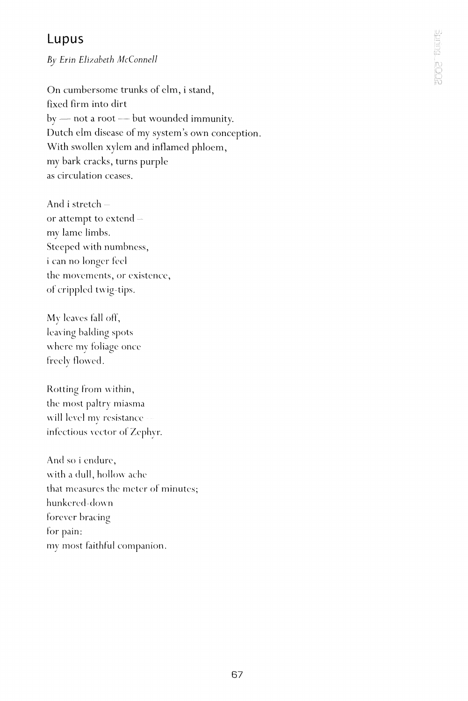## Lupus

*By Erin Elizabeth McConnell* 

On cumbersome trunks of elm, i stand, fixed firm into dirt by — not a root — but wounded immunity. Dutch elm disease of my system's own conception. With swollen xylem and inflamed phloem, my bark cracks, turns purple as circulation ceases.

And i stretch or attempt to extend my lame limbs. Steeped with numbness, i can no longer feel the movements, or existence, of crippled twig-tips.

My leaves fall off, leaving balding spots where mv foliage once freely flowed.

Rotting from within, the most paltry miasma will level my resistance infectious vector of Zephyr.

And so i endure, with a dull, hollow ache that measures the meter of minutes; hunkered-down forever bracing for pain: my most faithful companion.